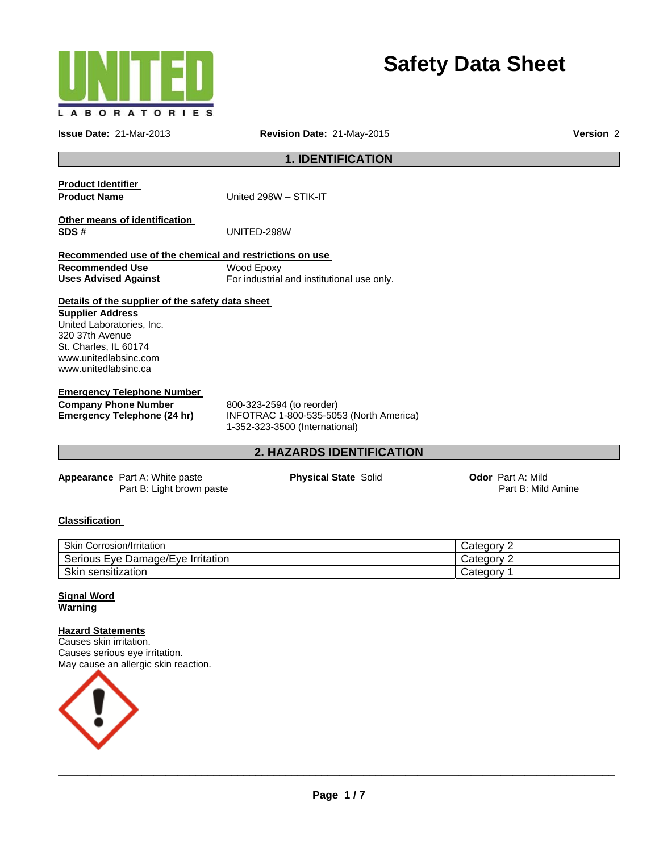

# **Safety Data Sheet**

**Issue Date:** 21-Mar-2013 **Revision Date:** 21-May-2015 **Version** 2

**1. IDENTIFICATION** 

**Product Identifier** 

**Product Name** United 298W – STIK-IT

**Other means of identification SDS #** UNITED-298W

**Recommended use of the chemical and restrictions on use Recommended Use Uses Advised Against**  Wood Epoxy For industrial and institutional use only.

# **Details of the supplier of the safety data sheet**

**Supplier Address**  United Laboratories, Inc. 320 37th Avenue St. Charles, IL 60174 www.unitedlabsinc.com www.unitedlabsinc.ca

#### **Emergency Telephone Number**

**Company Phone Number** 800-323-2594 (to reorder)<br> **Emergency Telephone (24 hr)** INFOTRAC 1-800-535-509

**Emergency Telephone (24 hr)** INFOTRAC 1-800-535-5053 (North America) 1-352-323-3500 (International)

# **2. HAZARDS IDENTIFICATION**

**Appearance** Part A: White paste Part B: Light brown paste **Physical State Solid <b>Concernsive Codor** Part A: Mild

Part B: Mild Amine

# **Classification**

| <b>Skin Corrosion/Irritation</b>  | ' ategory۔ |
|-----------------------------------|------------|
| Serious Eye Damage/Eye Irritation | ∵atedory:  |
| Skin<br>sensitization ا           | ategoryٽ   |

#### **Signal Word Warning**

#### **Hazard Statements**

Causes skin irritation. Causes serious eye irritation. May cause an allergic skin reaction.

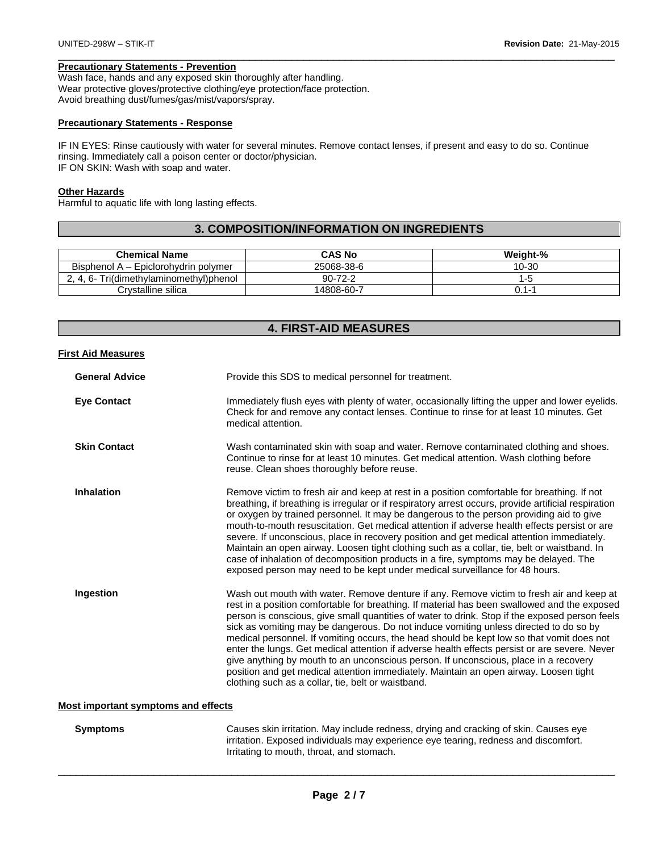### **Precautionary Statements - Prevention**

Wash face, hands and any exposed skin thoroughly after handling. Wear protective gloves/protective clothing/eye protection/face protection. Avoid breathing dust/fumes/gas/mist/vapors/spray.

### **Precautionary Statements - Response**

IF IN EYES: Rinse cautiously with water for several minutes. Remove contact lenses, if present and easy to do so. Continue rinsing. Immediately call a poison center or doctor/physician. IF ON SKIN: Wash with soap and water.

 $\Box$ 

#### **Other Hazards**

Harmful to aquatic life with long lasting effects.

# **3. COMPOSITION/INFORMATION ON INGREDIENTS**

| <b>Chemical Name</b>                 | <b>CAS No</b> | Weight-% |
|--------------------------------------|---------------|----------|
| Bisphenol A – Epiclorohydrin polymer | 25068-38-6    | 10-30    |
| 2.4.6-Tri(dimethylaminomethyl)phenol | $90 - 72 - 2$ |          |
| Crystalline silica                   | 14808-60-7    | 0.1-′    |

# **4. FIRST-AID MEASURES**

#### **First Aid Measures**

| <b>General Advice</b> | Provide this SDS to medical personnel for treatment.                                                                                                                                                                                                                                                                                                                                                                                                                                                                                                                                                                                                                                                                                                                                                                     |
|-----------------------|--------------------------------------------------------------------------------------------------------------------------------------------------------------------------------------------------------------------------------------------------------------------------------------------------------------------------------------------------------------------------------------------------------------------------------------------------------------------------------------------------------------------------------------------------------------------------------------------------------------------------------------------------------------------------------------------------------------------------------------------------------------------------------------------------------------------------|
| <b>Eye Contact</b>    | Immediately flush eyes with plenty of water, occasionally lifting the upper and lower eyelids.<br>Check for and remove any contact lenses. Continue to rinse for at least 10 minutes. Get<br>medical attention.                                                                                                                                                                                                                                                                                                                                                                                                                                                                                                                                                                                                          |
| <b>Skin Contact</b>   | Wash contaminated skin with soap and water. Remove contaminated clothing and shoes.<br>Continue to rinse for at least 10 minutes. Get medical attention. Wash clothing before<br>reuse. Clean shoes thoroughly before reuse.                                                                                                                                                                                                                                                                                                                                                                                                                                                                                                                                                                                             |
| <b>Inhalation</b>     | Remove victim to fresh air and keep at rest in a position comfortable for breathing. If not<br>breathing, if breathing is irregular or if respiratory arrest occurs, provide artificial respiration<br>or oxygen by trained personnel. It may be dangerous to the person providing aid to give<br>mouth-to-mouth resuscitation. Get medical attention if adverse health effects persist or are<br>severe. If unconscious, place in recovery position and get medical attention immediately.<br>Maintain an open airway. Loosen tight clothing such as a collar, tie, belt or waistband. In<br>case of inhalation of decomposition products in a fire, symptoms may be delayed. The<br>exposed person may need to be kept under medical surveillance for 48 hours.                                                        |
| Ingestion             | Wash out mouth with water. Remove denture if any. Remove victim to fresh air and keep at<br>rest in a position comfortable for breathing. If material has been swallowed and the exposed<br>person is conscious, give small quantities of water to drink. Stop if the exposed person feels<br>sick as vomiting may be dangerous. Do not induce vomiting unless directed to do so by<br>medical personnel. If vomiting occurs, the head should be kept low so that vomit does not<br>enter the lungs. Get medical attention if adverse health effects persist or are severe. Never<br>give anything by mouth to an unconscious person. If unconscious, place in a recovery<br>position and get medical attention immediately. Maintain an open airway. Loosen tight<br>clothing such as a collar, tie, belt or waistband. |

#### **Most important symptoms and effects**

**Symptoms** Causes skin irritation. May include redness, drying and cracking of skin. Causes eye irritation. Exposed individuals may experience eye tearing, redness and discomfort. Irritating to mouth, throat, and stomach.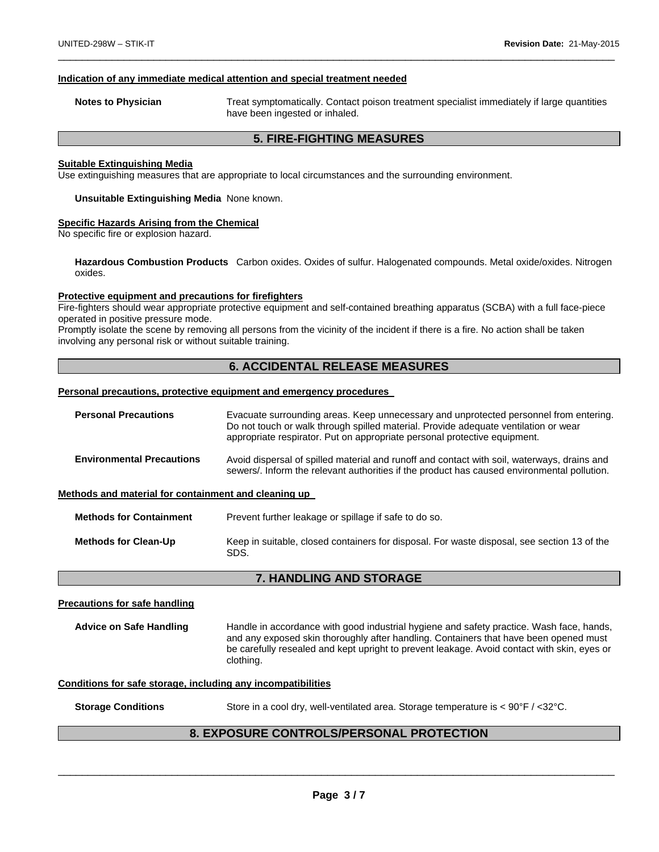#### **Indication of any immediate medical attention and special treatment needed**

**Notes to Physician** Treat symptomatically. Contact poison treatment specialist immediately if large quantities have been ingested or inhaled.

### **5. FIRE-FIGHTING MEASURES**

 $\Box$ 

#### **Suitable Extinguishing Media**

Use extinguishing measures that are appropriate to local circumstances and the surrounding environment.

#### **Unsuitable Extinguishing Media** None known.

#### **Specific Hazards Arising from the Chemical**

No specific fire or explosion hazard.

**Hazardous Combustion Products** Carbon oxides. Oxides of sulfur. Halogenated compounds. Metal oxide/oxides. Nitrogen oxides.

#### **Protective equipment and precautions for firefighters**

Fire-fighters should wear appropriate protective equipment and self-contained breathing apparatus (SCBA) with a full face-piece operated in positive pressure mode.

Promptly isolate the scene by removing all persons from the vicinity of the incident if there is a fire. No action shall be taken involving any personal risk or without suitable training.

# **6. ACCIDENTAL RELEASE MEASURES**

#### **Personal precautions, protective equipment and emergency procedures**

| <b>Personal Precautions</b>                          | Evacuate surrounding areas. Keep unnecessary and unprotected personnel from entering.<br>Do not touch or walk through spilled material. Provide adequate ventilation or wear<br>appropriate respirator. Put on appropriate personal protective equipment. |
|------------------------------------------------------|-----------------------------------------------------------------------------------------------------------------------------------------------------------------------------------------------------------------------------------------------------------|
| <b>Environmental Precautions</b>                     | Avoid dispersal of spilled material and runoff and contact with soil, waterways, drains and<br>sewers/. Inform the relevant authorities if the product has caused environmental pollution.                                                                |
| Methods and material for containment and cleaning up |                                                                                                                                                                                                                                                           |
| <b>Methods for Containment</b>                       | Prevent further leakage or spillage if safe to do so.                                                                                                                                                                                                     |
| <b>Methods for Clean-Up</b>                          | Keep in suitable, closed containers for disposal. For waste disposal, see section 13 of the<br>SDS.                                                                                                                                                       |

#### **7. HANDLING AND STORAGE**

#### **Precautions for safe handling**

**Advice on Safe Handling** Handle in accordance with good industrial hygiene and safety practice. Wash face, hands, and any exposed skin thoroughly after handling. Containers that have been opened must be carefully resealed and kept upright to prevent leakage. Avoid contact with skin, eyes or clothing.

#### **Conditions for safe storage, including any incompatibilities**

**Storage Conditions** Store in a cool dry, well-ventilated area. Storage temperature is < 90°F / <32°C.

# **8. EXPOSURE CONTROLS/PERSONAL PROTECTION**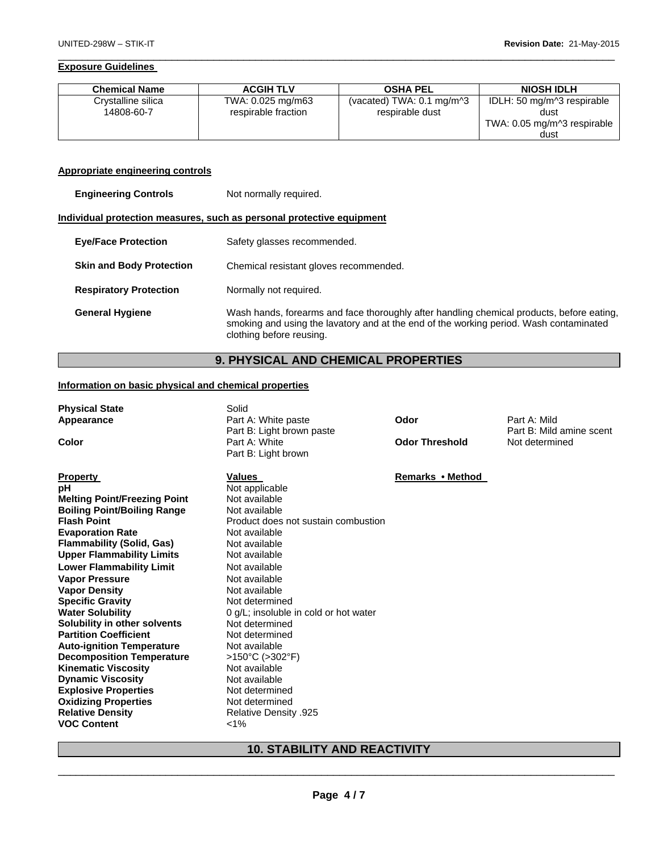#### **Exposure Guidelines**

| <b>Chemical Name</b> | <b>ACGIH TLV</b>    | <b>OSHA PEL</b>                                | <b>NIOSH IDLH</b>           |
|----------------------|---------------------|------------------------------------------------|-----------------------------|
| Crystalline silica   | TWA: 0.025 mg/m63   | (vacated) TWA: $0.1 \text{ mg/m}$ <sup>3</sup> | IDLH: 50 mg/m^3 respirable  |
| 14808-60-7           | respirable fraction | respirable dust                                | dust                        |
|                      |                     |                                                | TWA: 0.05 mg/m^3 respirable |
|                      |                     |                                                | dust                        |

 $\Box$ 

#### **Appropriate engineering controls**

| <b>Engineering Controls</b> | Not normally required. |
|-----------------------------|------------------------|
|                             |                        |

#### **Individual protection measures, such as personal protective equipment**

| <b>Eye/Face Protection</b>      | Safety glasses recommended.                                                                                                                                                                                     |
|---------------------------------|-----------------------------------------------------------------------------------------------------------------------------------------------------------------------------------------------------------------|
| <b>Skin and Body Protection</b> | Chemical resistant gloves recommended.                                                                                                                                                                          |
| <b>Respiratory Protection</b>   | Normally not required.                                                                                                                                                                                          |
| <b>General Hygiene</b>          | Wash hands, forearms and face thoroughly after handling chemical products, before eating,<br>smoking and using the lavatory and at the end of the working period. Wash contaminated<br>clothing before reusing. |

# **9. PHYSICAL AND CHEMICAL PROPERTIES**

#### **Information on basic physical and chemical properties**

| <b>Physical State</b><br>Appearance<br>Color                                                                                                                                                                                                                                                                                                                                                                                                                                                                                                                                                                                                                                           | Solid<br>Part A: White paste<br>Part B: Light brown paste<br>Part A: White<br>Part B: Light brown                                                                                                                                                                                                                                                                                                                                                                              | Odor<br><b>Odor Threshold</b> | Part A: Mild<br>Part B: Mild amine scent<br>Not determined |
|----------------------------------------------------------------------------------------------------------------------------------------------------------------------------------------------------------------------------------------------------------------------------------------------------------------------------------------------------------------------------------------------------------------------------------------------------------------------------------------------------------------------------------------------------------------------------------------------------------------------------------------------------------------------------------------|--------------------------------------------------------------------------------------------------------------------------------------------------------------------------------------------------------------------------------------------------------------------------------------------------------------------------------------------------------------------------------------------------------------------------------------------------------------------------------|-------------------------------|------------------------------------------------------------|
| <b>Property</b><br>рH<br><b>Melting Point/Freezing Point</b><br><b>Boiling Point/Boiling Range</b><br><b>Flash Point</b><br><b>Evaporation Rate</b><br><b>Flammability (Solid, Gas)</b><br><b>Upper Flammability Limits</b><br><b>Lower Flammability Limit</b><br><b>Vapor Pressure</b><br><b>Vapor Density</b><br><b>Specific Gravity</b><br><b>Water Solubility</b><br>Solubility in other solvents<br><b>Partition Coefficient</b><br><b>Auto-ignition Temperature</b><br><b>Decomposition Temperature</b><br><b>Kinematic Viscosity</b><br><b>Dynamic Viscosity</b><br><b>Explosive Properties</b><br><b>Oxidizing Properties</b><br><b>Relative Density</b><br><b>VOC Content</b> | Values<br>Not applicable<br>Not available<br>Not available<br>Product does not sustain combustion<br>Not available<br>Not available<br>Not available<br>Not available<br>Not available<br>Not available<br>Not determined<br>0 g/L; insoluble in cold or hot water<br>Not determined<br>Not determined<br>Not available<br>$>150^{\circ}$ C ( $>302^{\circ}$ F)<br>Not available<br>Not available<br>Not determined<br>Not determined<br><b>Relative Density .925</b><br>$1\%$ | Remarks • Method              |                                                            |

# \_\_\_\_\_\_\_\_\_\_\_\_\_\_\_\_\_\_\_\_\_\_\_\_\_\_\_\_\_\_\_\_\_\_\_\_\_\_\_\_\_\_\_\_\_\_\_\_\_\_\_\_\_\_\_\_\_\_\_\_\_\_\_\_\_\_\_\_\_\_\_\_\_\_\_\_\_\_\_\_\_\_\_\_\_\_\_\_\_\_\_\_\_ **10. STABILITY AND REACTIVITY**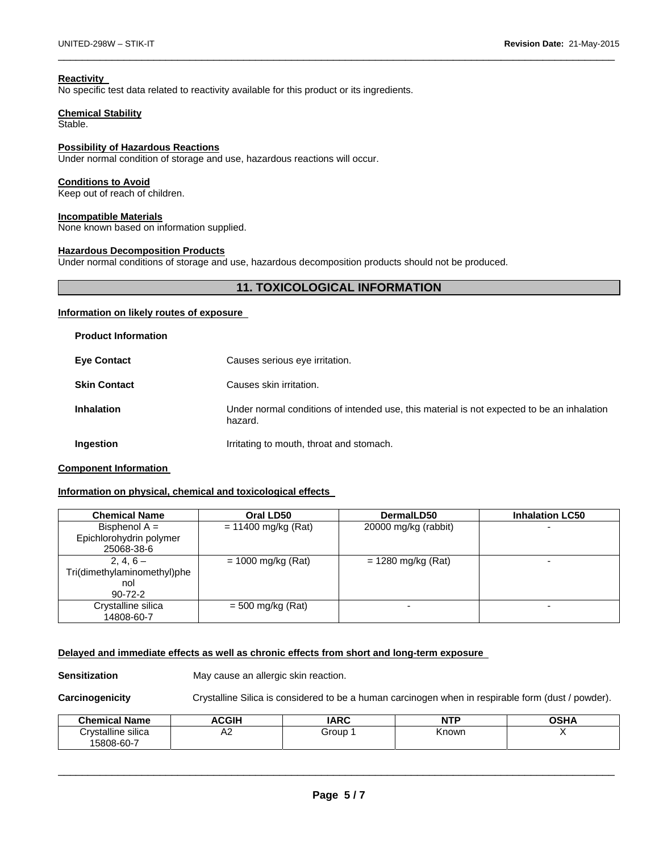#### **Reactivity**

No specific test data related to reactivity available for this product or its ingredients.

#### **Chemical Stability**

Stable.

#### **Possibility of Hazardous Reactions**

Under normal condition of storage and use, hazardous reactions will occur.

#### **Conditions to Avoid**

Keep out of reach of children.

#### **Incompatible Materials**

None known based on information supplied.

#### **Hazardous Decomposition Products**

Under normal conditions of storage and use, hazardous decomposition products should not be produced.

# **11. TOXICOLOGICAL INFORMATION**

 $\Box$ 

#### **Information on likely routes of exposure**

| <b>Product Information</b> |                                                                                                       |
|----------------------------|-------------------------------------------------------------------------------------------------------|
| <b>Eye Contact</b>         | Causes serious eye irritation.                                                                        |
| <b>Skin Contact</b>        | Causes skin irritation.                                                                               |
| <b>Inhalation</b>          | Under normal conditions of intended use, this material is not expected to be an inhalation<br>hazard. |
| Ingestion                  | Irritating to mouth, throat and stomach.                                                              |

#### **Component Information**

### **Information on physical, chemical and toxicological effects**

| <b>Chemical Name</b>                       | Oral LD50             | DermalLD50           | <b>Inhalation LC50</b>   |
|--------------------------------------------|-----------------------|----------------------|--------------------------|
| Bisphenol $A =$<br>Epichlorohydrin polymer | $= 11400$ mg/kg (Rat) | 20000 mg/kg (rabbit) |                          |
| 25068-38-6                                 |                       |                      |                          |
| $2, 4, 6 -$                                | $= 1000$ mg/kg (Rat)  | $= 1280$ mg/kg (Rat) | -                        |
| Tri(dimethylaminomethyl)phe                |                       |                      |                          |
| nol                                        |                       |                      |                          |
| $90 - 72 - 2$                              |                       |                      |                          |
| Crystalline silica<br>14808-60-7           | $=$ 500 mg/kg (Rat)   |                      | $\overline{\phantom{a}}$ |

#### **Delayed and immediate effects as well as chronic effects from short and long-term exposure**

**Sensitization May cause an allergic skin reaction.** 

**Carcinogenicity** Crystalline Silica is considered to be a human carcinogen when in respirable form (dust / powder).

| <b>Chemical Name</b> | <b>ACGIH</b> | <b>IARC</b> | NTP   | <b>OSHA</b> |
|----------------------|--------------|-------------|-------|-------------|
| Crystalline silica   | ٨C<br>AZ.    | Group       | Known |             |
| 15808-60-7           |              |             |       |             |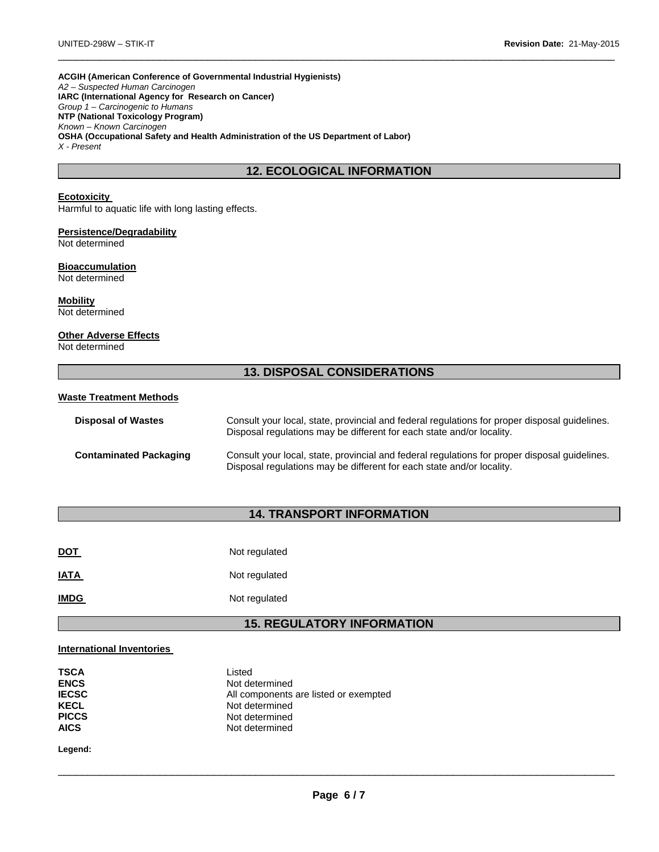**ACGIH (American Conference of Governmental Industrial Hygienists)**  *A2 – Suspected Human Carcinogen*  **IARC (International Agency for Research on Cancer)**  *Group 1 – Carcinogenic to Humans*  **NTP (National Toxicology Program)**  *Known – Known Carcinogen*  **OSHA (Occupational Safety and Health Administration of the US Department of Labor)**  *X - Present* 

# **12. ECOLOGICAL INFORMATION**

 $\Box$ 

#### **Ecotoxicity**

Harmful to aquatic life with long lasting effects.

# **Persistence/Degradability**

Not determined

#### **Bioaccumulation**  Not determined

**Mobility**  Not determined

# **Other Adverse Effects**

Not determined

# **13. DISPOSAL CONSIDERATIONS**

#### **Waste Treatment Methods**

| <b>Disposal of Wastes</b>     | Consult your local, state, provincial and federal regulations for proper disposal guidelines.<br>Disposal regulations may be different for each state and/or locality. |
|-------------------------------|------------------------------------------------------------------------------------------------------------------------------------------------------------------------|
| <b>Contaminated Packaging</b> | Consult your local, state, provincial and federal regulations for proper disposal quidelines.<br>Disposal regulations may be different for each state and/or locality. |

# **14. TRANSPORT INFORMATION**

| <u>DOT</u>  | Not regulated |
|-------------|---------------|
| <b>IATA</b> | Not regulated |
| <b>IMDG</b> | Not regulated |

# **15. REGULATORY INFORMATION**

#### **International Inventories**

| <b>TSCA</b><br><b>ENCS</b> | Listed<br>Not determined              |
|----------------------------|---------------------------------------|
| <b>IECSC</b>               | All components are listed or exempted |
| <b>KECL</b>                | Not determined                        |
| <b>PICCS</b>               | Not determined                        |
| <b>AICS</b>                | Not determined                        |

**Legend:**